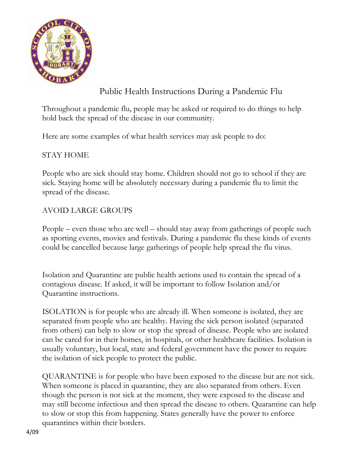

Public Health Instructions During a Pandemic Flu

Throughout a pandemic flu, people may be asked or required to do things to help hold back the spread of the disease in our community.

Here are some examples of what health services may ask people to do:

# STAY HOME

People who are sick should stay home. Children should not go to school if they are sick. Staying home will be absolutely necessary during a pandemic flu to limit the spread of the disease.

# AVOID LARGE GROUPS

People – even those who are well – should stay away from gatherings of people such as sporting events, movies and festivals. During a pandemic flu these kinds of events could be cancelled because large gatherings of people help spread the flu virus.

Isolation and Quarantine are public health actions used to contain the spread of a contagious disease. If asked, it will be important to follow Isolation and/or Quarantine instructions.

ISOLATION is for people who are already ill. When someone is isolated, they are separated from people who are healthy. Having the sick person isolated (separated from others) can help to slow or stop the spread of disease. People who are isolated can be cared for in their homes, in hospitals, or other healthcare facilities. Isolation is usually voluntary, but local, state and federal government have the power to require the isolation of sick people to protect the public.

QUARANTINE is for people who have been exposed to the disease but are not sick. When someone is placed in quarantine, they are also separated from others. Even though the person is not sick at the moment, they were exposed to the disease and may still become infectious and then spread the disease to others. Quarantine can help to slow or stop this from happening. States generally have the power to enforce quarantines within their borders.